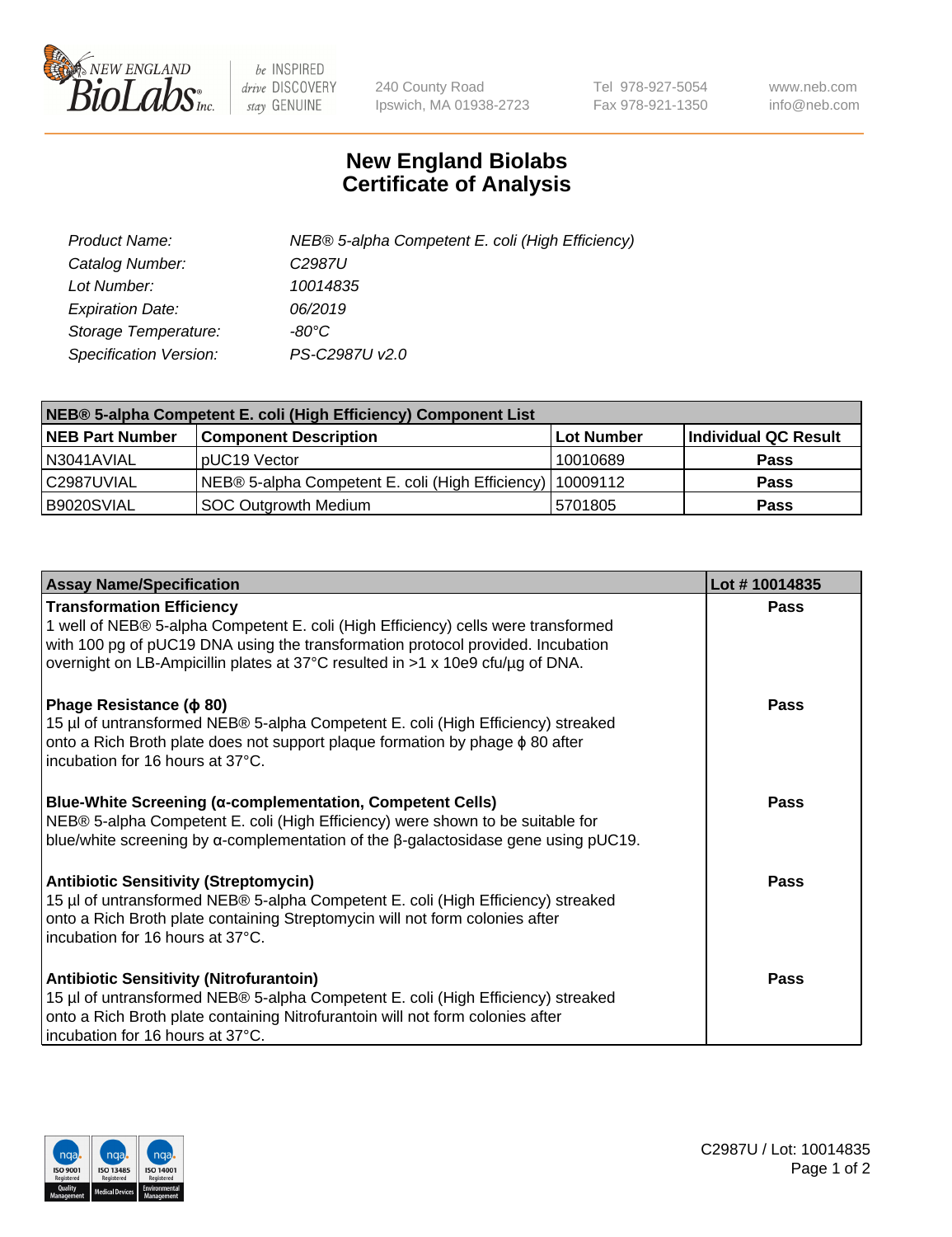

 $be$  INSPIRED drive DISCOVERY stay GENUINE

240 County Road Ipswich, MA 01938-2723 Tel 978-927-5054 Fax 978-921-1350 www.neb.com info@neb.com

## **New England Biolabs Certificate of Analysis**

| Product Name:           | NEB® 5-alpha Competent E. coli (High Efficiency) |
|-------------------------|--------------------------------------------------|
| Catalog Number:         | C <sub>2987</sub> U                              |
| Lot Number:             | 10014835                                         |
| <b>Expiration Date:</b> | 06/2019                                          |
| Storage Temperature:    | -80°C                                            |
| Specification Version:  | PS-C2987U v2.0                                   |

| NEB® 5-alpha Competent E. coli (High Efficiency) Component List |                                                             |            |                      |  |
|-----------------------------------------------------------------|-------------------------------------------------------------|------------|----------------------|--|
| <b>NEB Part Number</b>                                          | <b>Component Description</b>                                | Lot Number | Individual QC Result |  |
| N3041AVIAL                                                      | pUC19 Vector                                                | 10010689   | <b>Pass</b>          |  |
| C2987UVIAL                                                      | NEB® 5-alpha Competent E. coli (High Efficiency)   10009112 |            | <b>Pass</b>          |  |
| B9020SVIAL                                                      | SOC Outgrowth Medium                                        | 5701805    | <b>Pass</b>          |  |

| <b>Assay Name/Specification</b>                                                                                                                                                                                                                                                            | Lot #10014835 |
|--------------------------------------------------------------------------------------------------------------------------------------------------------------------------------------------------------------------------------------------------------------------------------------------|---------------|
| <b>Transformation Efficiency</b><br>1 well of NEB® 5-alpha Competent E. coli (High Efficiency) cells were transformed<br>with 100 pg of pUC19 DNA using the transformation protocol provided. Incubation<br>overnight on LB-Ampicillin plates at 37°C resulted in >1 x 10e9 cfu/µg of DNA. | <b>Pass</b>   |
| Phage Resistance ( $\phi$ 80)<br>15 µl of untransformed NEB® 5-alpha Competent E. coli (High Efficiency) streaked<br>onto a Rich Broth plate does not support plaque formation by phage $\phi$ 80 after<br>incubation for 16 hours at 37°C.                                                | Pass          |
| Blue-White Screening (α-complementation, Competent Cells)<br>NEB® 5-alpha Competent E. coli (High Efficiency) were shown to be suitable for<br>blue/white screening by $\alpha$ -complementation of the $\beta$ -galactosidase gene using pUC19.                                           | <b>Pass</b>   |
| <b>Antibiotic Sensitivity (Streptomycin)</b><br>15 µl of untransformed NEB® 5-alpha Competent E. coli (High Efficiency) streaked<br>onto a Rich Broth plate containing Streptomycin will not form colonies after<br>incubation for 16 hours at 37°C.                                       | Pass          |
| <b>Antibiotic Sensitivity (Nitrofurantoin)</b><br>15 µl of untransformed NEB® 5-alpha Competent E. coli (High Efficiency) streaked<br>onto a Rich Broth plate containing Nitrofurantoin will not form colonies after<br>incubation for 16 hours at 37°C.                                   | Pass          |